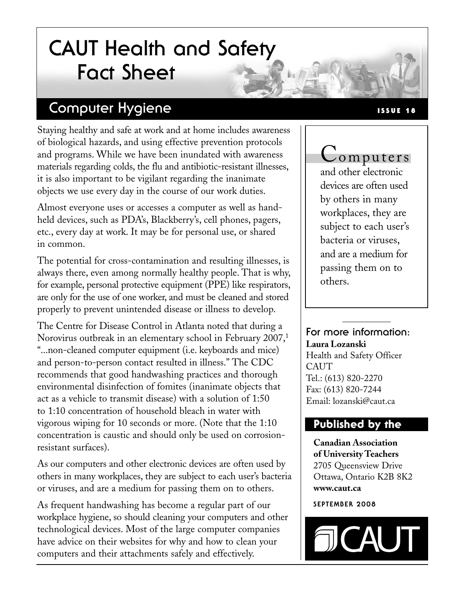# **CAUT Health and Safety Fact Sheet**

### **Computer Hygiene**

Staying healthy and safe at work and at home includes awareness of biological hazards, and using effective prevention protocols and programs. While we have been inundated with awareness materials regarding colds, the flu and antibiotic-resistant illnesses, it is also important to be vigilant regarding the inanimate objects we use every day in the course of our work duties.

Almost everyone uses or accesses a computer as well as handheld devices, such as PDA's, Blackberry's, cell phones, pagers, etc., every day at work. It may be for personal use, or shared in common.

The potential for cross-contamination and resulting illnesses, is always there, even among normally healthy people. That is why, for example, personal protective equipment (PPE) like respirators, are only for the use of one worker, and must be cleaned and stored properly to prevent unintended disease or illness to develop.

The Centre for Disease Control in Atlanta noted that during a Norovirus outbreak in an elementary school in February 2007,<sup>1</sup> "...non-cleaned computer equipment (i.e. keyboards and mice) and person-to-person contact resulted in illness." The CDC recommends that good handwashing practices and thorough environmental disinfection of fomites (inanimate objects that act as a vehicle to transmit disease) with a solution of 1:50 to 1:10 concentration of household bleach in water with vigorous wiping for 10 seconds or more. (Note that the 1:10 concentration is caustic and should only be used on corrosionresistant surfaces).

As our computers and other electronic devices are often used by others in many workplaces, they are subject to each user's bacteria or viruses, and are a medium for passing them on to others.

As frequent handwashing has become a regular part of our workplace hygiene, so should cleaning your computers and other technological devices. Most of the large computer companies have advice on their websites for why and how to clean your computers and their attachments safely and effectively.

#### **ISSUE 18**

## Computers

and other electronic devices are often used by others in many workplaces, they are subject to each user's bacteria or viruses, and are a medium for passing them on to others.

#### **For more information: Laura Lozanski**

Health and Safety Officer **CAUT** Tel.: (613) 820-2270 Fax: (613) 820-7244 Email: lozanski@caut.ca

#### **Published by the**

**Canadian Association of University Teachers** 2705 Queensview Drive Ottawa, Ontario K2B 8K2 **www.caut.ca**

#### **SEPTEMBER 2008**

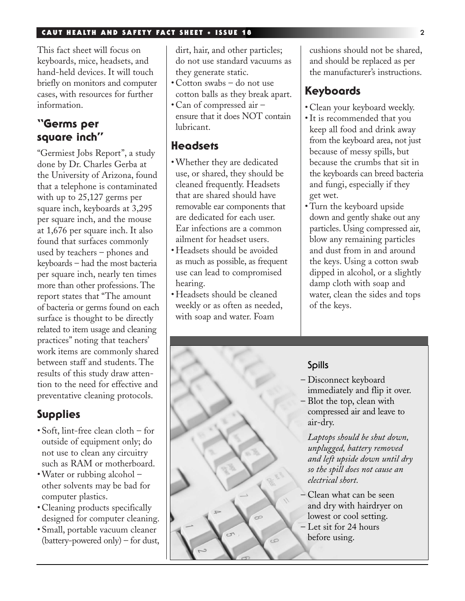#### **CAUT HEALTH AND SAFETY FACT SHEET \* ISSUE 18 2**

This fact sheet will focus on keyboards, mice, headsets, and hand-held devices. It will touch briefly on monitors and computer cases, with resources for further information.

#### **"Germs per square inch"**

"Germiest Jobs Report", a study done by Dr. Charles Gerba at the University of Arizona, found that a telephone is contaminated with up to 25,127 germs per square inch, keyboards at 3,295 per square inch, and the mouse at 1,676 per square inch. It also found that surfaces commonly used by teachers – phones and keyboards – had the most bacteria per square inch, nearly ten times more than other professions. The report states that "The amount of bacteria or germs found on each surface is thought to be directly related to item usage and cleaning practices" noting that teachers' work items are commonly shared between staff and students. The results of this study draw attention to the need for effective and preventative cleaning protocols.

#### **Supplies**

- Soft, lint-free clean cloth for outside of equipment only; do not use to clean any circuitry such as RAM or motherboard.
- Water or rubbing alcohol other solvents may be bad for computer plastics.
- Cleaning products specifically designed for computer cleaning.
- Small, portable vacuum cleaner (battery-powered only) – for dust,

dirt, hair, and other particles; do not use standard vacuums as they generate static.

- Cotton swabs do not use cotton balls as they break apart.
- Can of compressed air ensure that it does NOT contain lubricant.

#### **Headsets**

- Whether they are dedicated use, or shared, they should be cleaned frequently. Headsets that are shared should have removable ear components that are dedicated for each user. Ear infections are a common ailment for headset users.
- Headsets should be avoided as much as possible, as frequent use can lead to compromised hearing.
- Headsets should be cleaned weekly or as often as needed, with soap and water. Foam

cushions should not be shared, and should be replaced as per the manufacturer's instructions.

#### **Keyboards**

- Clean your keyboard weekly.
- It is recommended that you keep all food and drink away from the keyboard area, not just because of messy spills, but because the crumbs that sit in the keyboards can breed bacteria and fungi, especially if they get wet.
- Turn the keyboard upside down and gently shake out any particles. Using compressed air, blow any remaining particles and dust from in and around the keys. Using a cotton swab dipped in alcohol, or a slightly damp cloth with soap and water, clean the sides and tops of the keys.

#### **Spills**

 $\circ$ 

- Disconnect keyboard immediately and flip it over.
- Blot the top, clean with compressed air and leave to air-dry.

*Laptops should be shut down, unplugged, battery removed and left upside down until dry so the spill does not cause an electrical short.*

– Clean what can be seen and dry with hairdryer on lowest or cool setting. – Let sit for 24 hours before using.